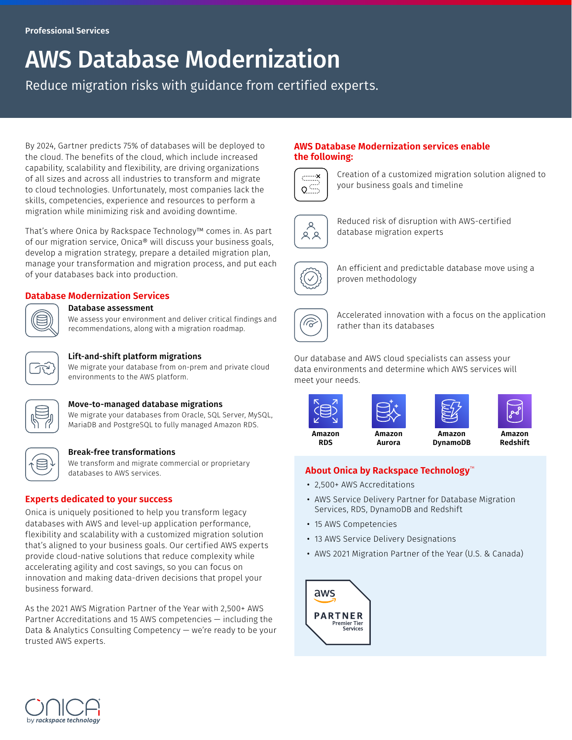# AWS Database Modernization

Reduce migration risks with guidance from certified experts.

By 2024, Gartner predicts 75% of databases will be deployed to the cloud. The benefits of the cloud, which include increased capability, scalability and flexibility, are driving organizations of all sizes and across all industries to transform and migrate to cloud technologies. Unfortunately, most companies lack the skills, competencies, experience and resources to perform a migration while minimizing risk and avoiding downtime.

That's where Onica by Rackspace Technology™ comes in. As part of our migration service, Onica® will discuss your business goals, develop a migration strategy, prepare a detailed migration plan, manage your transformation and migration process, and put each of your databases back into production.

# **Database Modernization Services**

#### Database assessment

We assess your environment and deliver critical findings and recommendations, along with a migration roadmap.



## Lift-and-shift platform migrations

We migrate your database from on-prem and private cloud environments to the AWS platform.

## Move-to-managed database migrations

We migrate your databases from Oracle, SQL Server, MySQL, MariaDB and PostgreSQL to fully managed Amazon RDS.



#### Break-free transformations

We transform and migrate commercial or proprietary databases to AWS services.

# **Experts dedicated to your success**

Onica is uniquely positioned to help you transform legacy databases with AWS and level-up application performance, flexibility and scalability with a customized migration solution that's aligned to your business goals. Our certified AWS experts provide cloud-native solutions that reduce complexity while accelerating agility and cost savings, so you can focus on innovation and making data-driven decisions that propel your business forward.

As the 2021 AWS Migration Partner of the Year with 2,500+ AWS Partner Accreditations and 15 AWS competencies — including the Data & Analytics Consulting Competency — we're ready to be your trusted AWS experts.

## **AWS Database Modernization services enable the following:**



Creation of a customized migration solution aligned to your business goals and timeline







An efficient and predictable database move using a proven methodology



Accelerated innovation with a focus on the application rather than its databases

Our database and AWS cloud specialists can assess your data environments and determine which AWS services will meet your needs.







**RDS**

**Amazon Aurora**

**Amazon DynamoDB**

**Amazon Redshift**

# **About Onica by Rackspace Technology**™

- 2,500+ AWS Accreditations
- AWS Service Delivery Partner for Database Migration Services, RDS, DynamoDB and Redshift
- 15 AWS Competencies
- 13 AWS Service Delivery Designations
- AWS 2021 Migration Partner of the Year (U.S. & Canada)